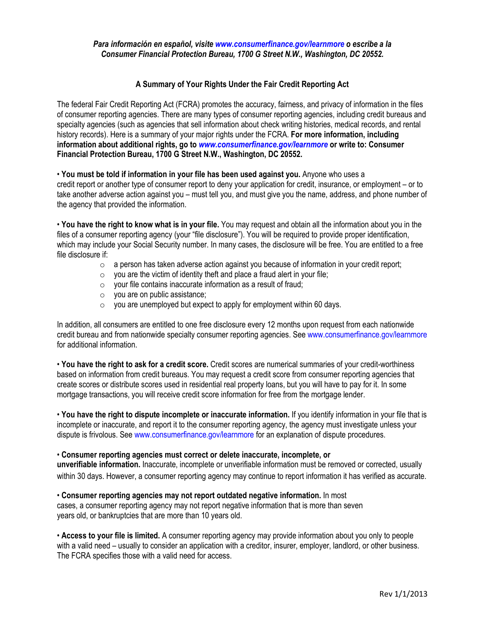## Para información en español, visite www.consumerfinance.gov/learnmore o escribe a la Consumer Financial Protection Bureau, 1700 G Street N.W., Washington, DC 20552.

## A Summary of Your Rights Under the Fair Credit Reporting Act

The federal Fair Credit Reporting Act (FCRA) promotes the accuracy, fairness, and privacy of information in the files of consumer reporting agencies. There are many types of consumer reporting agencies, including credit bureaus and specialty agencies (such as agencies that sell information about check writing histories, medical records, and rental history records). Here is a summary of your major rights under the FCRA. For more information, including information about additional rights, go to www.consumerfinance.gov/learnmore or write to: Consumer Financial Protection Bureau, 1700 G Street N.W., Washington, DC 20552.

• You must be told if information in your file has been used against you. Anyone who uses a credit report or another type of consumer report to deny your application for credit, insurance, or employment – or to take another adverse action against you – must tell you, and must give you the name, address, and phone number of the agency that provided the information.

• You have the right to know what is in your file. You may request and obtain all the information about you in the files of a consumer reporting agency (your "file disclosure"). You will be required to provide proper identification, which may include your Social Security number. In many cases, the disclosure will be free. You are entitled to a free file disclosure if:

- $\circ$  a person has taken adverse action against you because of information in your credit report;
- $\circ$  you are the victim of identity theft and place a fraud alert in your file;
- $\circ$  your file contains inaccurate information as a result of fraud;
- o you are on public assistance;
- $\circ$  you are unemployed but expect to apply for employment within 60 days.

In addition, all consumers are entitled to one free disclosure every 12 months upon request from each nationwide credit bureau and from nationwide specialty consumer reporting agencies. See www.consumerfinance.gov/learnmore for additional information.

• You have the right to ask for a credit score. Credit scores are numerical summaries of your credit-worthiness based on information from credit bureaus. You may request a credit score from consumer reporting agencies that create scores or distribute scores used in residential real property loans, but you will have to pay for it. In some mortgage transactions, you will receive credit score information for free from the mortgage lender.

• You have the right to dispute incomplete or inaccurate information. If you identify information in your file that is incomplete or inaccurate, and report it to the consumer reporting agency, the agency must investigate unless your dispute is frivolous. See www.consumerfinance.gov/learnmore for an explanation of dispute procedures.

## • Consumer reporting agencies must correct or delete inaccurate, incomplete, or

unverifiable information. Inaccurate, incomplete or unverifiable information must be removed or corrected, usually within 30 days. However, a consumer reporting agency may continue to report information it has verified as accurate.

• Consumer reporting agencies may not report outdated negative information. In most cases, a consumer reporting agency may not report negative information that is more than seven years old, or bankruptcies that are more than 10 years old.

• Access to your file is limited. A consumer reporting agency may provide information about you only to people with a valid need – usually to consider an application with a creditor, insurer, employer, landlord, or other business. The FCRA specifies those with a valid need for access.